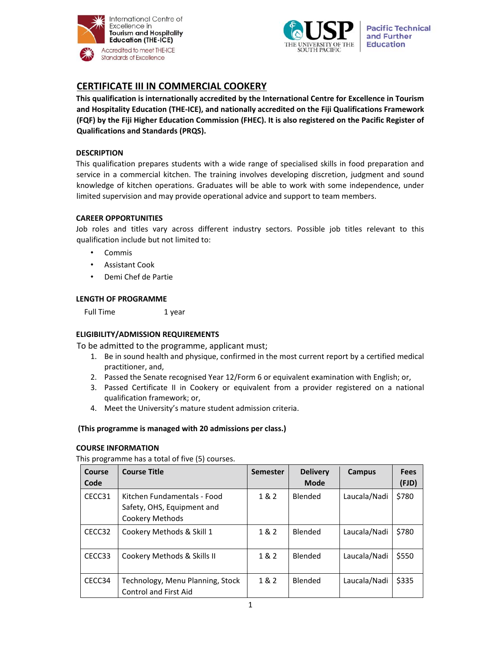



# **CERTIFICATE III IN COMMERCIAL COOKERY**

**This qualification is internationally accredited by the International Centre for Excellence in Tourism and Hospitality Education (THE‐ICE), and nationally accredited on the Fiji Qualifications Framework (FQF) by the Fiji Higher Education Commission (FHEC). It is also registered on the Pacific Register of Qualifications and Standards (PRQS).**

## **DESCRIPTION**

This qualification prepares students with a wide range of specialised skills in food preparation and service in a commercial kitchen. The training involves developing discretion, judgment and sound knowledge of kitchen operations. Graduates will be able to work with some independence, under limited supervision and may provide operational advice and support to team members.

# **CAREER OPPORTUNITIES**

Job roles and titles vary across different industry sectors. Possible job titles relevant to this qualification include but not limited to:

- Commis
- Assistant Cook
- Demi Chef de Partie

## **LENGTH OF PROGRAMME**

Full Time 1 year

## **ELIGIBILITY/ADMISSION REQUIREMENTS**

To be admitted to the programme, applicant must;

- 1. Be in sound health and physique, confirmed in the most current report by a certified medical practitioner, and,
- 2. Passed the Senate recognised Year 12/Form 6 or equivalent examination with English; or,
- 3. Passed Certificate II in Cookery or equivalent from a provider registered on a national qualification framework; or,
- 4. Meet the University's mature student admission criteria.

## **(This programme is managed with 20 admissions per class.)**

## **COURSE INFORMATION**

This programme has a total of five (5) courses.

| Course<br>Code | <b>Course Title</b>                                                          | <b>Semester</b> | <b>Delivery</b><br><b>Mode</b> | Campus       | <b>Fees</b><br>(FJD) |
|----------------|------------------------------------------------------------------------------|-----------------|--------------------------------|--------------|----------------------|
| CECC31         | Kitchen Fundamentals - Food<br>Safety, OHS, Equipment and<br>Cookery Methods | 1 & 2           | <b>Blended</b>                 | Laucala/Nadi | \$780                |
| CECC32         | Cookery Methods & Skill 1                                                    | 1&2             | <b>Blended</b>                 | Laucala/Nadi | \$780                |
| CECC33         | Cookery Methods & Skills II                                                  | 1&2             | <b>Blended</b>                 | Laucala/Nadi | \$550                |
| CECC34         | Technology, Menu Planning, Stock<br><b>Control and First Aid</b>             | 1 & 2           | <b>Blended</b>                 | Laucala/Nadi | \$335                |